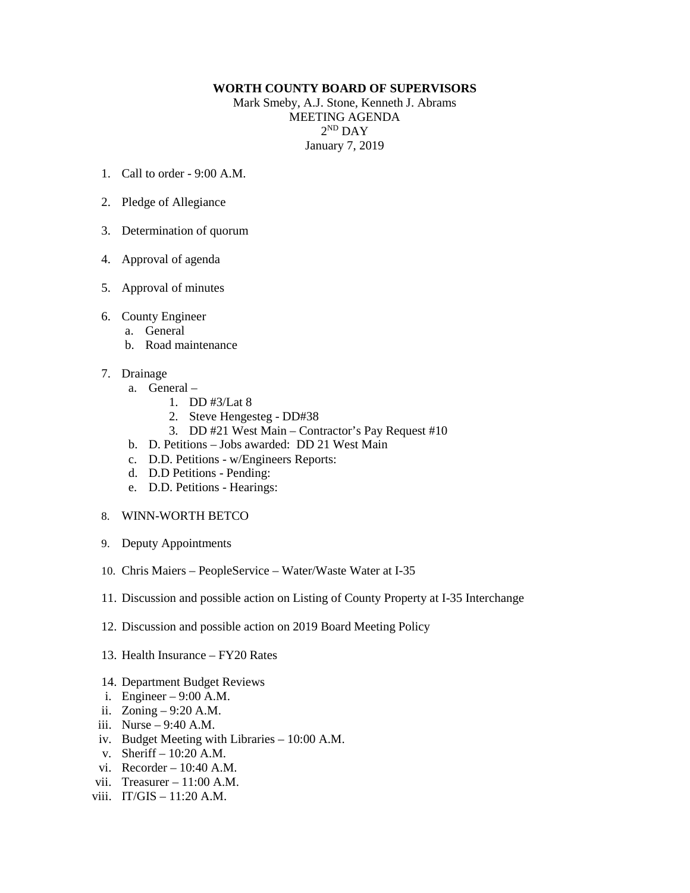## **WORTH COUNTY BOARD OF SUPERVISORS**

Mark Smeby, A.J. Stone, Kenneth J. Abrams MEETING AGENDA  $2^{ND}$  DAY January 7, 2019

- 1. Call to order 9:00 A.M.
- 2. Pledge of Allegiance
- 3. Determination of quorum
- 4. Approval of agenda
- 5. Approval of minutes
- 6. County Engineer
	- a. General
	- b. Road maintenance
- 7. Drainage
	- a. General
		- 1. DD #3/Lat 8
		- 2. Steve Hengesteg DD#38
		- 3. DD #21 West Main Contractor's Pay Request #10
	- b. D. Petitions Jobs awarded: DD 21 West Main
	- c. D.D. Petitions w/Engineers Reports:
	- d. D.D Petitions Pending:
	- e. D.D. Petitions Hearings:
- 8. WINN-WORTH BETCO
- 9. Deputy Appointments
- 10. Chris Maiers PeopleService Water/Waste Water at I-35
- 11. Discussion and possible action on Listing of County Property at I-35 Interchange
- 12. Discussion and possible action on 2019 Board Meeting Policy
- 13. Health Insurance FY20 Rates
- 14. Department Budget Reviews
- i. Engineer 9:00 A.M.
- ii. Zoning 9:20 A.M.
- iii. Nurse 9:40 A.M.
- iv. Budget Meeting with Libraries 10:00 A.M.
- v. Sheriff 10:20 A.M.
- vi. Recorder 10:40 A.M.
- vii. Treasurer 11:00 A.M.
- viii.  $IT/GIS 11:20 A.M$ .